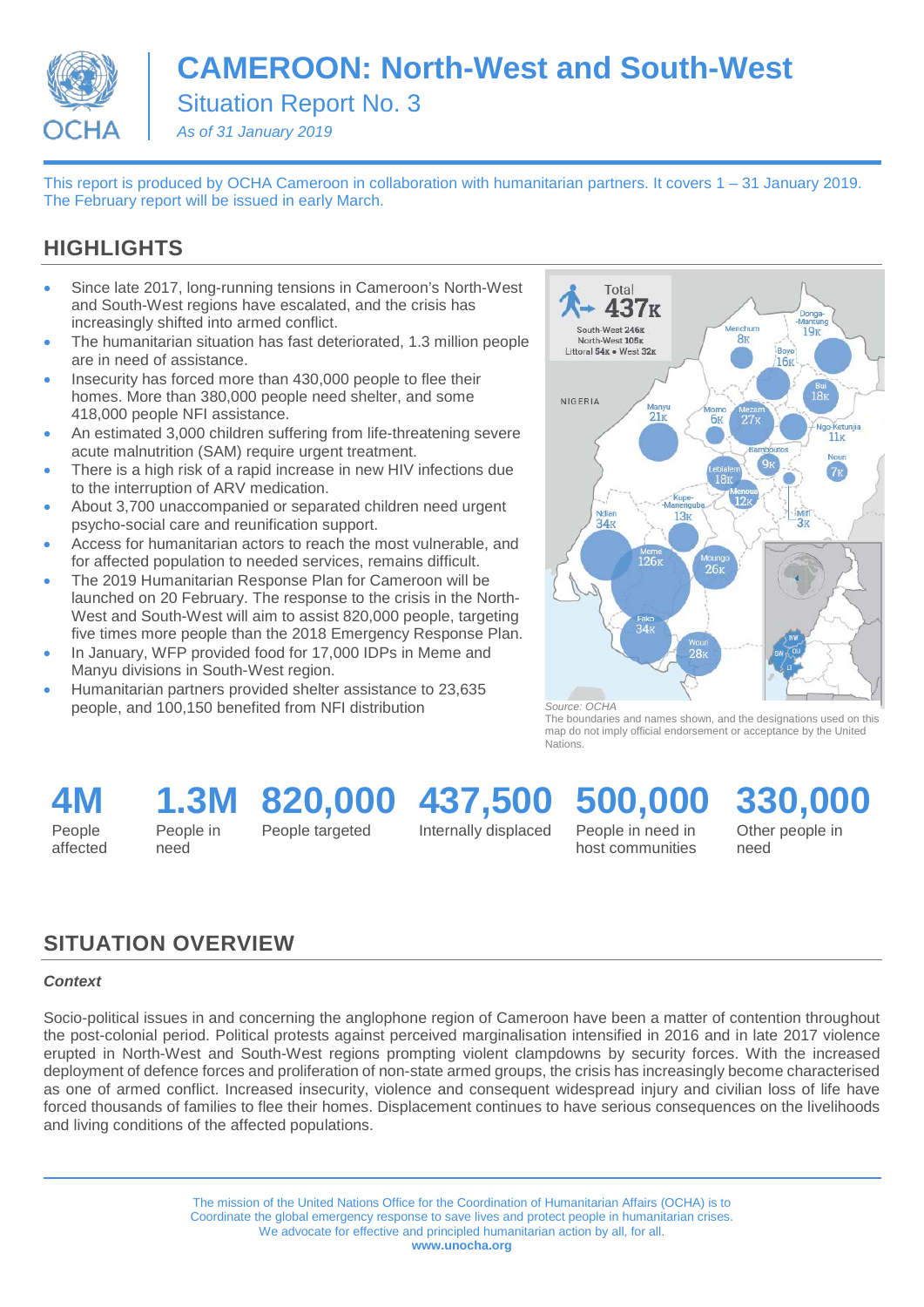

# **CAMEROON: North-West and South-West**

Situation Report No. 3

*As of 31 January 2019*

This report is produced by OCHA Cameroon in collaboration with humanitarian partners. It covers 1 – 31 January 2019. The February report will be issued in early March.

### **HIGHLIGHTS**

- Since late 2017, long-running tensions in Cameroon's North-West and South-West regions have escalated, and the crisis has increasingly shifted into armed conflict.
- The humanitarian situation has fast deteriorated, 1.3 million people are in need of assistance.
- Insecurity has forced more than 430,000 people to flee their homes. More than 380,000 people need shelter, and some 418,000 people NFI assistance.
- An estimated 3,000 children suffering from life-threatening severe acute malnutrition (SAM) require urgent treatment.
- There is a high risk of a rapid increase in new HIV infections due to the interruption of ARV medication.
- About 3,700 unaccompanied or separated children need urgent psycho-social care and reunification support.
- Access for humanitarian actors to reach the most vulnerable, and for affected population to needed services, remains difficult.
- The 2019 Humanitarian Response Plan for Cameroon will be launched on 20 February. The response to the crisis in the North-West and South-West will aim to assist 820,000 people, targeting five times more people than the 2018 Emergency Response Plan.
- In January, WFP provided food for 17,000 IDPs in Meme and Manyu divisions in South-West region.
- Humanitarian partners provided shelter assistance to 23,635 people, and 100,150 benefited from NFI distribution



*Source: OCHA*

The boundaries and names shown, and the designations used on this map do not imply official endorsement or acceptance by the United **Nations** 

**4M** People

affected

**1.3M 820,000 437,500**

People in need

People targeted

Internally displaced

# **500,000**

People in need in host communities **330,000** Other people in

need

### **SITUATION OVERVIEW**

#### *Context*

Socio-political issues in and concerning the anglophone region of Cameroon have been a matter of contention throughout the post-colonial period. Political protests against perceived marginalisation intensified in 2016 and in late 2017 violence erupted in North-West and South-West regions prompting violent clampdowns by security forces. With the increased deployment of defence forces and proliferation of non-state armed groups, the crisis has increasingly become characterised as one of armed conflict. Increased insecurity, violence and consequent widespread injury and civilian loss of life have forced thousands of families to flee their homes. Displacement continues to have serious consequences on the livelihoods and living conditions of the affected populations.

> The mission of the United Nations Office for the Coordination of Humanitarian Affairs (OCHA) is to Coordinate the global emergency response to save lives and protect people in humanitarian crises. We advocate for effective and principled humanitarian action by all, for all. **www.unocha.org**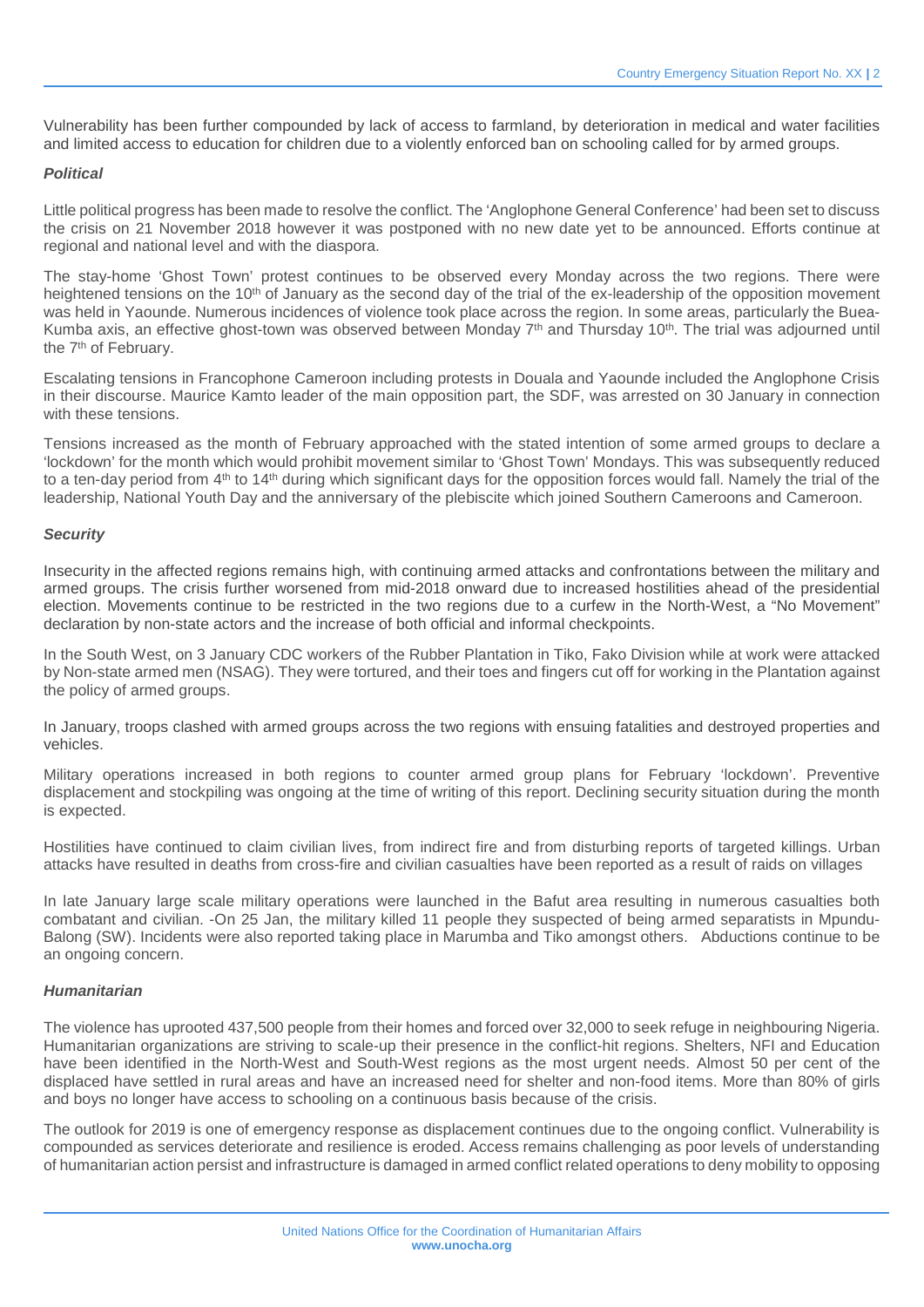Vulnerability has been further compounded by lack of access to farmland, by deterioration in medical and water facilities and limited access to education for children due to a violently enforced ban on schooling called for by armed groups.

#### *Political*

Little political progress has been made to resolve the conflict. The 'Anglophone General Conference' had been set to discuss the crisis on 21 November 2018 however it was postponed with no new date yet to be announced. Efforts continue at regional and national level and with the diaspora.

The stay-home 'Ghost Town' protest continues to be observed every Monday across the two regions. There were heightened tensions on the 10<sup>th</sup> of January as the second day of the trial of the ex-leadership of the opposition movement was held in Yaounde. Numerous incidences of violence took place across the region. In some areas, particularly the Buea-Kumba axis, an effective ghost-town was observed between Monday 7<sup>th</sup> and Thursday 10<sup>th</sup>. The trial was adjourned until the 7<sup>th</sup> of February.

Escalating tensions in Francophone Cameroon including protests in Douala and Yaounde included the Anglophone Crisis in their discourse. Maurice Kamto leader of the main opposition part, the SDF, was arrested on 30 January in connection with these tensions.

Tensions increased as the month of February approached with the stated intention of some armed groups to declare a 'lockdown' for the month which would prohibit movement similar to 'Ghost Town' Mondays. This was subsequently reduced to a ten-day period from 4<sup>th</sup> to 14<sup>th</sup> during which significant days for the opposition forces would fall. Namely the trial of the leadership, National Youth Day and the anniversary of the plebiscite which joined Southern Cameroons and Cameroon.

#### *Security*

Insecurity in the affected regions remains high, with continuing armed attacks and confrontations between the military and armed groups. The crisis further worsened from mid-2018 onward due to increased hostilities ahead of the presidential election. Movements continue to be restricted in the two regions due to a curfew in the North-West, a "No Movement" declaration by non-state actors and the increase of both official and informal checkpoints.

In the South West, on 3 January CDC workers of the Rubber Plantation in Tiko, Fako Division while at work were attacked by Non-state armed men (NSAG). They were tortured, and their toes and fingers cut off for working in the Plantation against the policy of armed groups.

In January, troops clashed with armed groups across the two regions with ensuing fatalities and destroyed properties and vehicles.

Military operations increased in both regions to counter armed group plans for February 'lockdown'. Preventive displacement and stockpiling was ongoing at the time of writing of this report. Declining security situation during the month is expected.

Hostilities have continued to claim civilian lives, from indirect fire and from disturbing reports of targeted killings. Urban attacks have resulted in deaths from cross-fire and civilian casualties have been reported as a result of raids on villages

In late January large scale military operations were launched in the Bafut area resulting in numerous casualties both combatant and civilian. -On 25 Jan, the military killed 11 people they suspected of being armed separatists in Mpundu-Balong (SW). Incidents were also reported taking place in Marumba and Tiko amongst others. Abductions continue to be an ongoing concern.

#### *Humanitarian*

The violence has uprooted 437,500 people from their homes and forced over 32,000 to seek refuge in neighbouring Nigeria. Humanitarian organizations are striving to scale-up their presence in the conflict-hit regions. Shelters, NFI and Education have been identified in the North-West and South-West regions as the most urgent needs. Almost 50 per cent of the displaced have settled in rural areas and have an increased need for shelter and non-food items. More than 80% of girls and boys no longer have access to schooling on a continuous basis because of the crisis.

The outlook for 2019 is one of emergency response as displacement continues due to the ongoing conflict. Vulnerability is compounded as services deteriorate and resilience is eroded. Access remains challenging as poor levels of understanding of humanitarian action persist and infrastructure is damaged in armed conflict related operations to deny mobility to opposing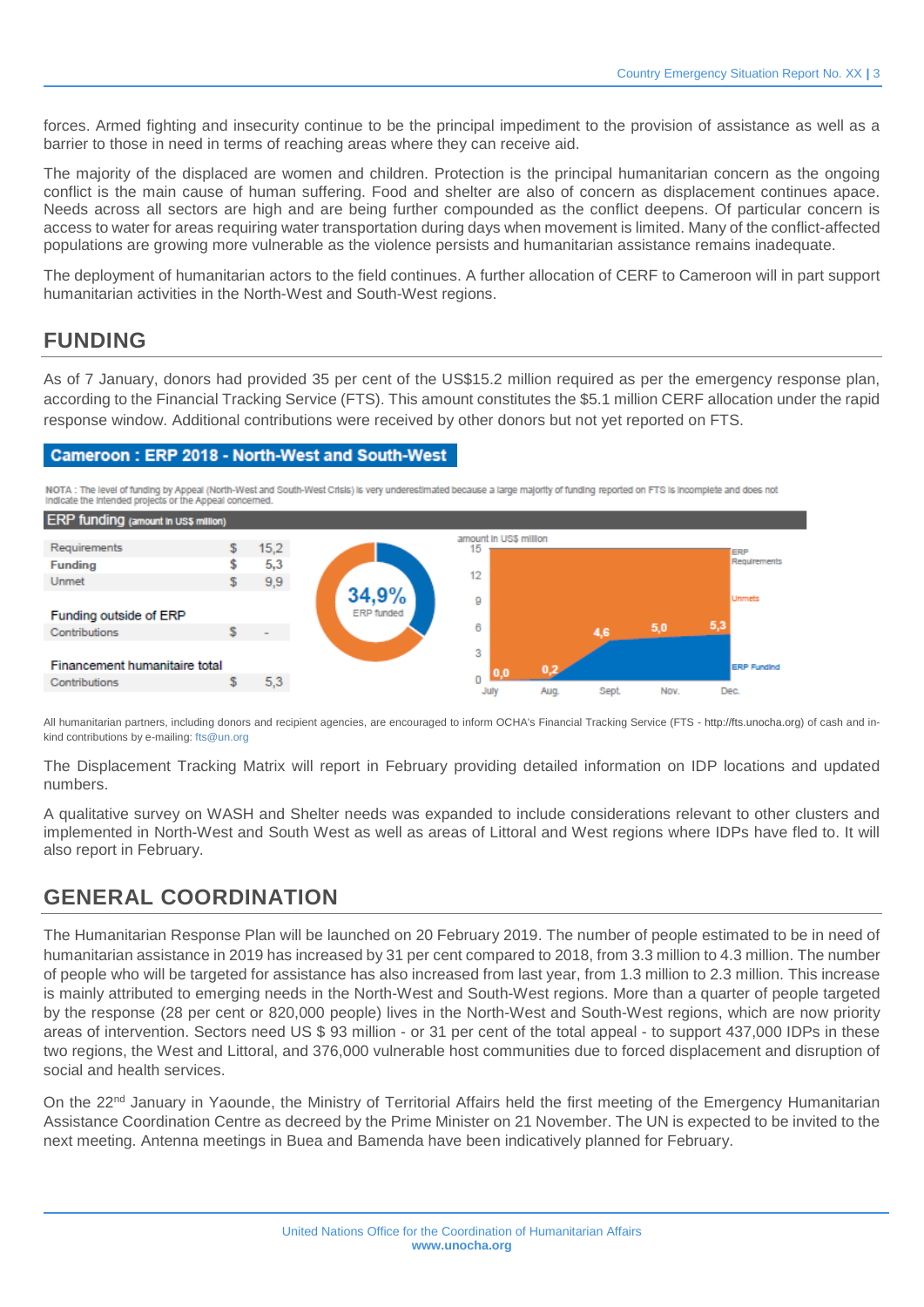forces. Armed fighting and insecurity continue to be the principal impediment to the provision of assistance as well as a barrier to those in need in terms of reaching areas where they can receive aid.

The majority of the displaced are women and children. Protection is the principal humanitarian concern as the ongoing conflict is the main cause of human suffering. Food and shelter are also of concern as displacement continues apace. Needs across all sectors are high and are being further compounded as the conflict deepens. Of particular concern is access to water for areas requiring water transportation during days when movement is limited. Many of the conflict-affected populations are growing more vulnerable as the violence persists and humanitarian assistance remains inadequate.

The deployment of humanitarian actors to the field continues. A further allocation of CERF to Cameroon will in part support humanitarian activities in the North-West and South-West regions.

### **FUNDING**

As of 7 January, donors had provided 35 per cent of the US\$15.2 million required as per the emergency response plan, according to the Financial Tracking Service (FTS). This amount constitutes the \$5.1 million CERF allocation under the rapid response window. Additional contributions were received by other donors but not yet reported on FTS.

#### Cameroon: ERP 2018 - North-West and South-West

NOTA : The level of funding by Appeal (North-West and South-West Crisis) is very underestimated because a large majority of funding reported on FTS is incomplete and does not indicate the intended projects or the Appeal concerned.



All humanitarian partners, including donors and recipient agencies, are encouraged to inform OCHA's Financial Tracking Service (FTS - [http://fts.unocha.org\)](http://fts.unocha.org/) of cash and in-kind contributions by e-mailing[: fts@un.org](mailto:fts@un.org)

The Displacement Tracking Matrix will report in February providing detailed information on IDP locations and updated numbers.

A qualitative survey on WASH and Shelter needs was expanded to include considerations relevant to other clusters and implemented in North-West and South West as well as areas of Littoral and West regions where IDPs have fled to. It will also report in February.

### **GENERAL COORDINATION**

The Humanitarian Response Plan will be launched on 20 February 2019. The number of people estimated to be in need of humanitarian assistance in 2019 has increased by 31 per cent compared to 2018, from 3.3 million to 4.3 million. The number of people who will be targeted for assistance has also increased from last year, from 1.3 million to 2.3 million. This increase is mainly attributed to emerging needs in the North-West and South-West regions. More than a quarter of people targeted by the response (28 per cent or 820,000 people) lives in the North-West and South-West regions, which are now priority areas of intervention. Sectors need US \$ 93 million - or 31 per cent of the total appeal - to support 437,000 IDPs in these two regions, the West and Littoral, and 376,000 vulnerable host communities due to forced displacement and disruption of social and health services.

On the 22<sup>nd</sup> January in Yaounde, the Ministry of Territorial Affairs held the first meeting of the Emergency Humanitarian Assistance Coordination Centre as decreed by the Prime Minister on 21 November. The UN is expected to be invited to the next meeting. Antenna meetings in Buea and Bamenda have been indicatively planned for February.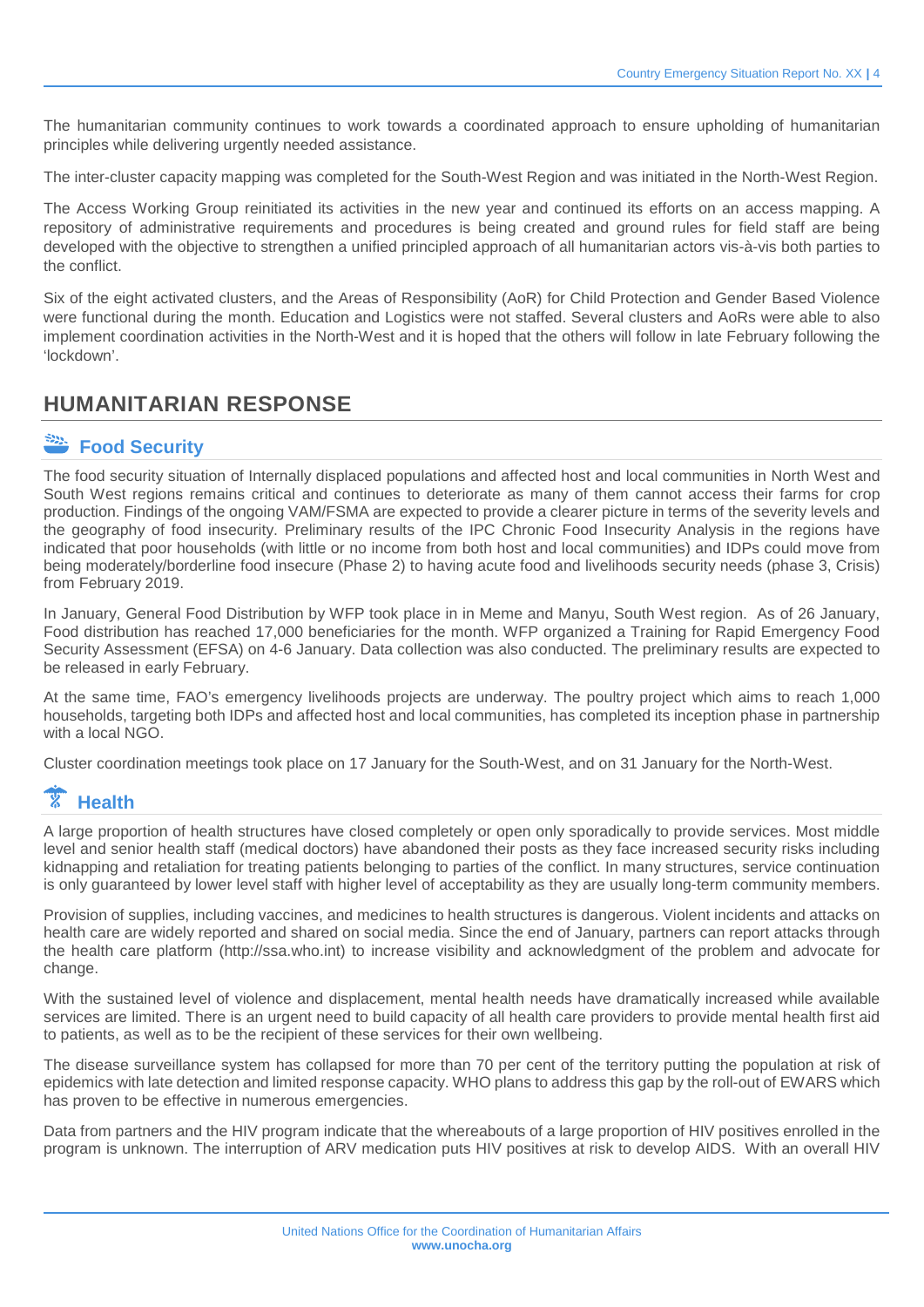The humanitarian community continues to work towards a coordinated approach to ensure upholding of humanitarian principles while delivering urgently needed assistance.

The inter-cluster capacity mapping was completed for the South-West Region and was initiated in the North-West Region.

The Access Working Group reinitiated its activities in the new year and continued its efforts on an access mapping. A repository of administrative requirements and procedures is being created and ground rules for field staff are being developed with the objective to strengthen a unified principled approach of all humanitarian actors vis-à-vis both parties to the conflict.

Six of the eight activated clusters, and the Areas of Responsibility (AoR) for Child Protection and Gender Based Violence were functional during the month. Education and Logistics were not staffed. Several clusters and AoRs were able to also implement coordination activities in the North-West and it is hoped that the others will follow in late February following the 'lockdown'.

### **HUMANITARIAN RESPONSE**

## **Food Security**

The food security situation of Internally displaced populations and affected host and local communities in North West and South West regions remains critical and continues to deteriorate as many of them cannot access their farms for crop production. Findings of the ongoing VAM/FSMA are expected to provide a clearer picture in terms of the severity levels and the geography of food insecurity. Preliminary results of the IPC Chronic Food Insecurity Analysis in the regions have indicated that poor households (with little or no income from both host and local communities) and IDPs could move from being moderately/borderline food insecure (Phase 2) to having acute food and livelihoods security needs (phase 3, Crisis) from February 2019.

In January, General Food Distribution by WFP took place in in Meme and Manyu, South West region. As of 26 January, Food distribution has reached 17,000 beneficiaries for the month. WFP organized a Training for Rapid Emergency Food Security Assessment (EFSA) on 4-6 January. Data collection was also conducted. The preliminary results are expected to be released in early February.

At the same time, FAO's emergency livelihoods projects are underway. The poultry project which aims to reach 1,000 households, targeting both IDPs and affected host and local communities, has completed its inception phase in partnership with a local NGO.

Cluster coordination meetings took place on 17 January for the South-West, and on 31 January for the North-West.

### **Health**

A large proportion of health structures have closed completely or open only sporadically to provide services. Most middle level and senior health staff (medical doctors) have abandoned their posts as they face increased security risks including kidnapping and retaliation for treating patients belonging to parties of the conflict. In many structures, service continuation is only guaranteed by lower level staff with higher level of acceptability as they are usually long-term community members.

Provision of supplies, including vaccines, and medicines to health structures is dangerous. Violent incidents and attacks on health care are widely reported and shared on social media. Since the end of January, partners can report attacks through the health care platform (http://ssa.who.int) to increase visibility and acknowledgment of the problem and advocate for change.

With the sustained level of violence and displacement, mental health needs have dramatically increased while available services are limited. There is an urgent need to build capacity of all health care providers to provide mental health first aid to patients, as well as to be the recipient of these services for their own wellbeing.

The disease surveillance system has collapsed for more than 70 per cent of the territory putting the population at risk of epidemics with late detection and limited response capacity. WHO plans to address this gap by the roll-out of EWARS which has proven to be effective in numerous emergencies.

Data from partners and the HIV program indicate that the whereabouts of a large proportion of HIV positives enrolled in the program is unknown. The interruption of ARV medication puts HIV positives at risk to develop AIDS. With an overall HIV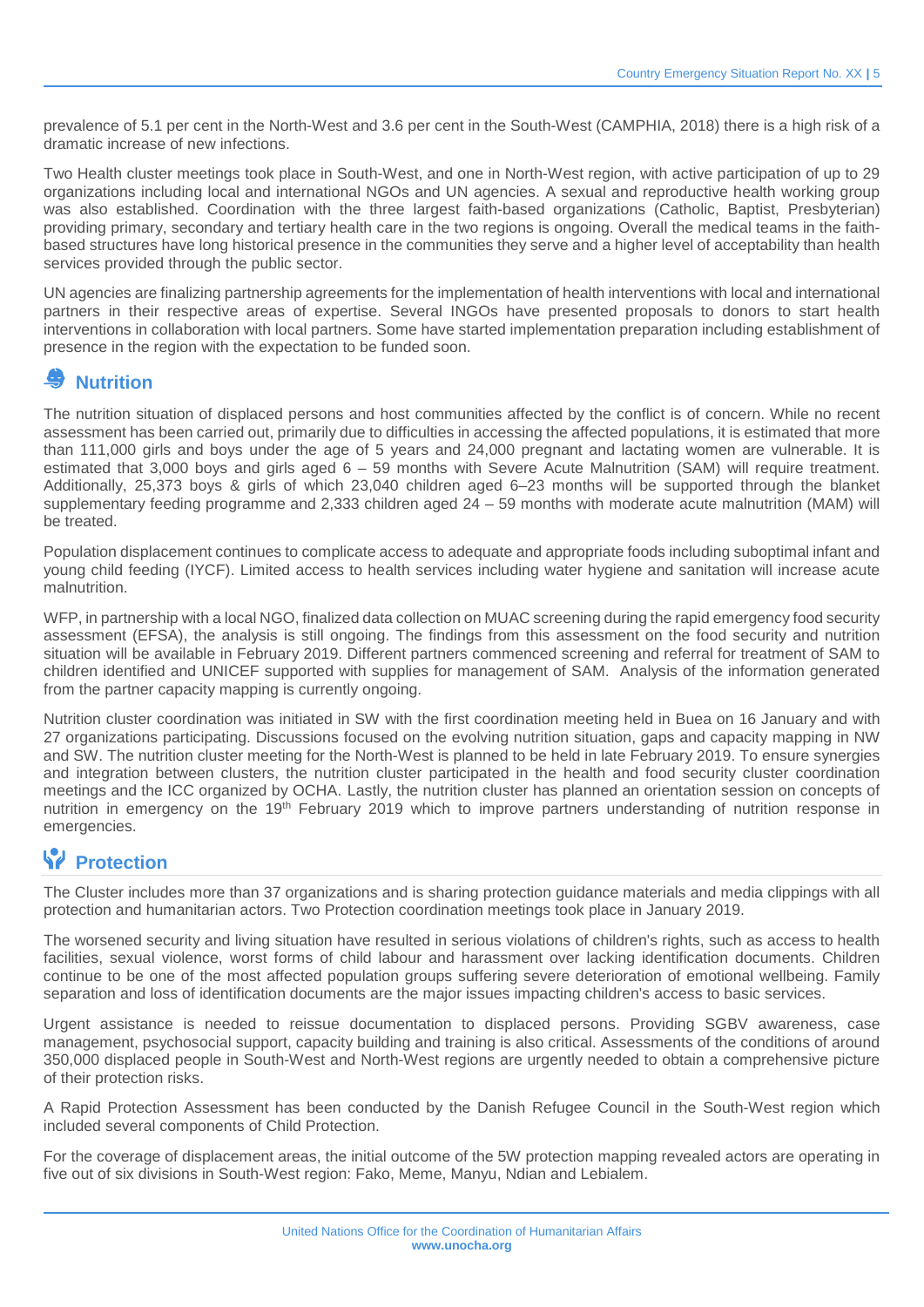prevalence of 5.1 per cent in the North-West and 3.6 per cent in the South-West (CAMPHIA, 2018) there is a high risk of a dramatic increase of new infections.

Two Health cluster meetings took place in South-West, and one in North-West region, with active participation of up to 29 organizations including local and international NGOs and UN agencies. A sexual and reproductive health working group was also established. Coordination with the three largest faith-based organizations (Catholic, Baptist, Presbyterian) providing primary, secondary and tertiary health care in the two regions is ongoing. Overall the medical teams in the faithbased structures have long historical presence in the communities they serve and a higher level of acceptability than health services provided through the public sector.

UN agencies are finalizing partnership agreements for the implementation of health interventions with local and international partners in their respective areas of expertise. Several INGOs have presented proposals to donors to start health interventions in collaboration with local partners. Some have started implementation preparation including establishment of presence in the region with the expectation to be funded soon.

### **Nutrition**

The nutrition situation of displaced persons and host communities affected by the conflict is of concern. While no recent assessment has been carried out, primarily due to difficulties in accessing the affected populations, it is estimated that more than 111,000 girls and boys under the age of 5 years and 24,000 pregnant and lactating women are vulnerable. It is estimated that 3,000 boys and girls aged 6 – 59 months with Severe Acute Malnutrition (SAM) will require treatment. Additionally, 25,373 boys & girls of which 23,040 children aged 6–23 months will be supported through the blanket supplementary feeding programme and 2,333 children aged 24 – 59 months with moderate acute malnutrition (MAM) will be treated.

Population displacement continues to complicate access to adequate and appropriate foods including suboptimal infant and young child feeding (IYCF). Limited access to health services including water hygiene and sanitation will increase acute malnutrition.

WFP, in partnership with a local NGO, finalized data collection on MUAC screening during the rapid emergency food security assessment (EFSA), the analysis is still ongoing. The findings from this assessment on the food security and nutrition situation will be available in February 2019. Different partners commenced screening and referral for treatment of SAM to children identified and UNICEF supported with supplies for management of SAM. Analysis of the information generated from the partner capacity mapping is currently ongoing.

Nutrition cluster coordination was initiated in SW with the first coordination meeting held in Buea on 16 January and with 27 organizations participating. Discussions focused on the evolving nutrition situation, gaps and capacity mapping in NW and SW. The nutrition cluster meeting for the North-West is planned to be held in late February 2019. To ensure synergies and integration between clusters, the nutrition cluster participated in the health and food security cluster coordination meetings and the ICC organized by OCHA. Lastly, the nutrition cluster has planned an orientation session on concepts of nutrition in emergency on the 19th February 2019 which to improve partners understanding of nutrition response in emergencies.

### **Protection**

The Cluster includes more than 37 organizations and is sharing protection guidance materials and media clippings with all protection and humanitarian actors. Two Protection coordination meetings took place in January 2019.

The worsened security and living situation have resulted in serious violations of children's rights, such as access to health facilities, sexual violence, worst forms of child labour and harassment over lacking identification documents. Children continue to be one of the most affected population groups suffering severe deterioration of emotional wellbeing. Family separation and loss of identification documents are the major issues impacting children's access to basic services.

Urgent assistance is needed to reissue documentation to displaced persons. Providing SGBV awareness, case management, psychosocial support, capacity building and training is also critical. Assessments of the conditions of around 350,000 displaced people in South-West and North-West regions are urgently needed to obtain a comprehensive picture of their protection risks.

A Rapid Protection Assessment has been conducted by the Danish Refugee Council in the South-West region which included several components of Child Protection.

For the coverage of displacement areas, the initial outcome of the 5W protection mapping revealed actors are operating in five out of six divisions in South-West region: Fako, Meme, Manyu, Ndian and Lebialem.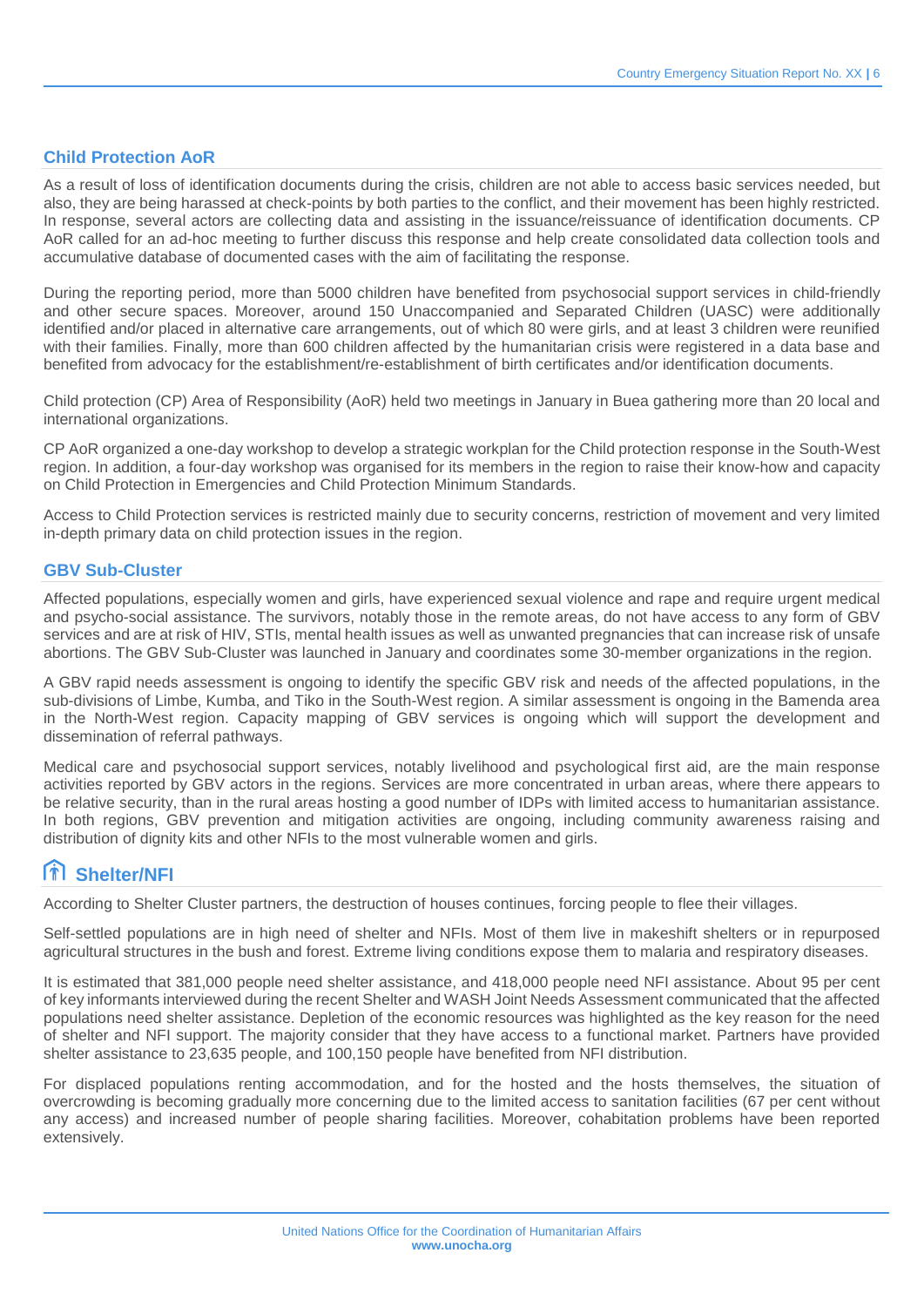#### **Child Protection AoR**

As a result of loss of identification documents during the crisis, children are not able to access basic services needed, but also, they are being harassed at check-points by both parties to the conflict, and their movement has been highly restricted. In response, several actors are collecting data and assisting in the issuance/reissuance of identification documents. CP AoR called for an ad-hoc meeting to further discuss this response and help create consolidated data collection tools and accumulative database of documented cases with the aim of facilitating the response.

During the reporting period, more than 5000 children have benefited from psychosocial support services in child-friendly and other secure spaces. Moreover, around 150 Unaccompanied and Separated Children (UASC) were additionally identified and/or placed in alternative care arrangements, out of which 80 were girls, and at least 3 children were reunified with their families. Finally, more than 600 children affected by the humanitarian crisis were registered in a data base and benefited from advocacy for the establishment/re-establishment of birth certificates and/or identification documents.

Child protection (CP) Area of Responsibility (AoR) held two meetings in January in Buea gathering more than 20 local and international organizations.

CP AoR organized a one-day workshop to develop a strategic workplan for the Child protection response in the South-West region. In addition, a four-day workshop was organised for its members in the region to raise their know-how and capacity on Child Protection in Emergencies and Child Protection Minimum Standards.

Access to Child Protection services is restricted mainly due to security concerns, restriction of movement and very limited in-depth primary data on child protection issues in the region.

#### **GBV Sub-Cluster**

Affected populations, especially women and girls, have experienced sexual violence and rape and require urgent medical and psycho-social assistance. The survivors, notably those in the remote areas, do not have access to any form of GBV services and are at risk of HIV, STIs, mental health issues as well as unwanted pregnancies that can increase risk of unsafe abortions. The GBV Sub-Cluster was launched in January and coordinates some 30-member organizations in the region.

A GBV rapid needs assessment is ongoing to identify the specific GBV risk and needs of the affected populations, in the sub-divisions of Limbe, Kumba, and Tiko in the South-West region. A similar assessment is ongoing in the Bamenda area in the North-West region. Capacity mapping of GBV services is ongoing which will support the development and dissemination of referral pathways.

Medical care and psychosocial support services, notably livelihood and psychological first aid, are the main response activities reported by GBV actors in the regions. Services are more concentrated in urban areas, where there appears to be relative security, than in the rural areas hosting a good number of IDPs with limited access to humanitarian assistance. In both regions, GBV prevention and mitigation activities are ongoing, including community awareness raising and distribution of dignity kits and other NFIs to the most vulnerable women and girls.

#### **Shelter/NFI**

According to Shelter Cluster partners, the destruction of houses continues, forcing people to flee their villages.

Self-settled populations are in high need of shelter and NFIs. Most of them live in makeshift shelters or in repurposed agricultural structures in the bush and forest. Extreme living conditions expose them to malaria and respiratory diseases.

It is estimated that 381,000 people need shelter assistance, and 418,000 people need NFI assistance. About 95 per cent of key informants interviewed during the recent Shelter and WASH Joint Needs Assessment communicated that the affected populations need shelter assistance. Depletion of the economic resources was highlighted as the key reason for the need of shelter and NFI support. The majority consider that they have access to a functional market. Partners have provided shelter assistance to 23,635 people, and 100,150 people have benefited from NFI distribution.

For displaced populations renting accommodation, and for the hosted and the hosts themselves, the situation of overcrowding is becoming gradually more concerning due to the limited access to sanitation facilities (67 per cent without any access) and increased number of people sharing facilities. Moreover, cohabitation problems have been reported extensively.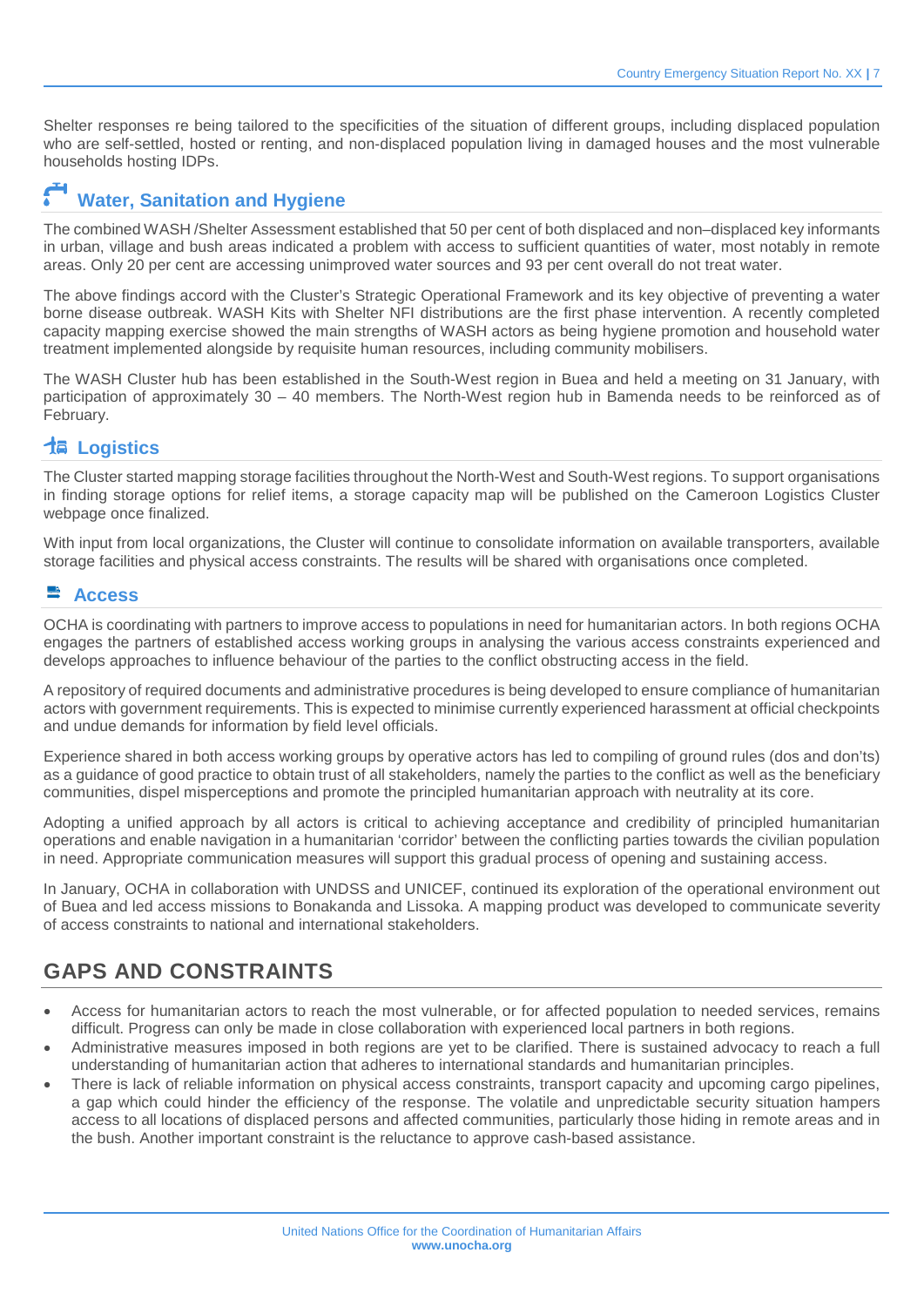Shelter responses re being tailored to the specificities of the situation of different groups, including displaced population who are self-settled, hosted or renting, and non-displaced population living in damaged houses and the most vulnerable households hosting IDPs.

### **Water, Sanitation and Hygiene**

The combined WASH /Shelter Assessment established that 50 per cent of both displaced and non–displaced key informants in urban, village and bush areas indicated a problem with access to sufficient quantities of water, most notably in remote areas. Only 20 per cent are accessing unimproved water sources and 93 per cent overall do not treat water.

The above findings accord with the Cluster's Strategic Operational Framework and its key objective of preventing a water borne disease outbreak. WASH Kits with Shelter NFI distributions are the first phase intervention. A recently completed capacity mapping exercise showed the main strengths of WASH actors as being hygiene promotion and household water treatment implemented alongside by requisite human resources, including community mobilisers.

The WASH Cluster hub has been established in the South-West region in Buea and held a meeting on 31 January, with participation of approximately 30 – 40 members. The North-West region hub in Bamenda needs to be reinforced as of February.

#### **Logistics**

The Cluster started mapping storage facilities throughout the North-West and South-West regions. To support organisations in finding storage options for relief items, a storage capacity map will be published on the Cameroon Logistics Cluster webpage once finalized.

With input from local organizations, the Cluster will continue to consolidate information on available transporters, available storage facilities and physical access constraints. The results will be shared with organisations once completed.

#### **Access**

OCHA is coordinating with partners to improve access to populations in need for humanitarian actors. In both regions OCHA engages the partners of established access working groups in analysing the various access constraints experienced and develops approaches to influence behaviour of the parties to the conflict obstructing access in the field.

A repository of required documents and administrative procedures is being developed to ensure compliance of humanitarian actors with government requirements. This is expected to minimise currently experienced harassment at official checkpoints and undue demands for information by field level officials.

Experience shared in both access working groups by operative actors has led to compiling of ground rules (dos and don'ts) as a guidance of good practice to obtain trust of all stakeholders, namely the parties to the conflict as well as the beneficiary communities, dispel misperceptions and promote the principled humanitarian approach with neutrality at its core.

Adopting a unified approach by all actors is critical to achieving acceptance and credibility of principled humanitarian operations and enable navigation in a humanitarian 'corridor' between the conflicting parties towards the civilian population in need. Appropriate communication measures will support this gradual process of opening and sustaining access.

In January, OCHA in collaboration with UNDSS and UNICEF, continued its exploration of the operational environment out of Buea and led access missions to Bonakanda and Lissoka. A mapping product was developed to communicate severity of access constraints to national and international stakeholders.

### **GAPS AND CONSTRAINTS**

- Access for humanitarian actors to reach the most vulnerable, or for affected population to needed services, remains difficult. Progress can only be made in close collaboration with experienced local partners in both regions.
- Administrative measures imposed in both regions are yet to be clarified. There is sustained advocacy to reach a full understanding of humanitarian action that adheres to international standards and humanitarian principles.
- There is lack of reliable information on physical access constraints, transport capacity and upcoming cargo pipelines, a gap which could hinder the efficiency of the response. The volatile and unpredictable security situation hampers access to all locations of displaced persons and affected communities, particularly those hiding in remote areas and in the bush. Another important constraint is the reluctance to approve cash-based assistance.